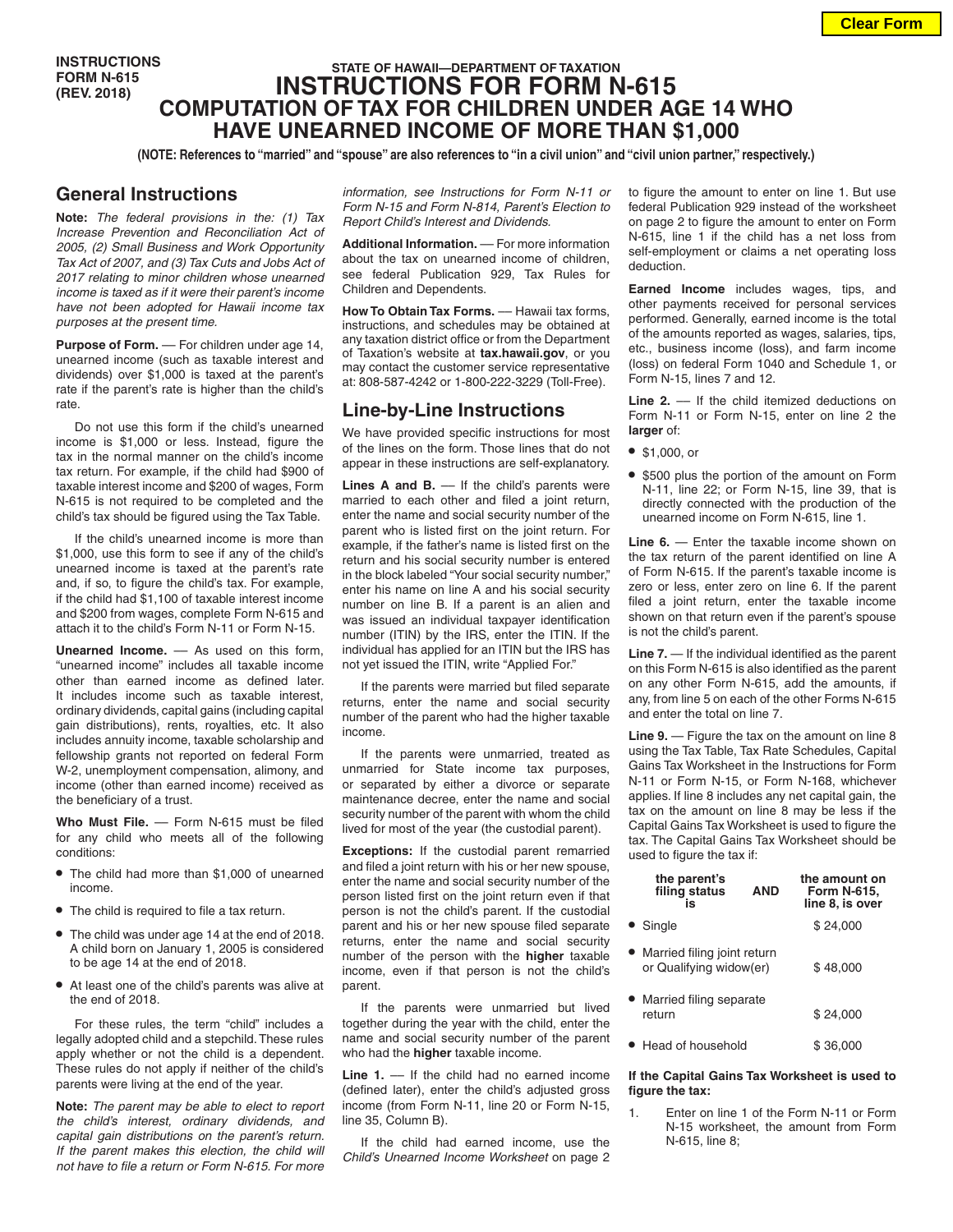**INSTRUCTIONS FORM N-615 (REV. 2018)**

# **STATE OF HAWAII—DEPARTMENT OF TAXATION INSTRUCTIONS FOR FORM N-615 COMPUTATION OF TAX FOR CHILDREN UNDER AGE 14 WHO HAVE UNEARNED INCOME OF MORE THAN \$1,000**

**(NOTE: References to "married" and "spouse" are also references to "in a civil union" and "civil union partner," respectively.)**

### **General Instructions**

**Note:** *The federal provisions in the: (1) Tax Increase Prevention and Reconciliation Act of 2005, (2) Small Business and Work Opportunity Tax Act of 2007, and (3) Tax Cuts and Jobs Act of 2017 relating to minor children whose unearned income is taxed as if it were their parent's income have not been adopted for Hawaii income tax purposes at the present time.*

Purpose of Form. - For children under age 14, unearned income (such as taxable interest and dividends) over \$1,000 is taxed at the parent's rate if the parent's rate is higher than the child's rate.

Do not use this form if the child's unearned income is \$1,000 or less. Instead, figure the tax in the normal manner on the child's income tax return. For example, if the child had \$900 of taxable interest income and \$200 of wages, Form N-615 is not required to be completed and the child's tax should be figured using the Tax Table.

If the child's unearned income is more than \$1,000, use this form to see if any of the child's unearned income is taxed at the parent's rate and, if so, to figure the child's tax. For example, if the child had \$1,100 of taxable interest income and \$200 from wages, complete Form N-615 and attach it to the child's Form N-11 or Form N-15.

**Unearned Income.** –– As used on this form, "unearned income" includes all taxable income other than earned income as defined later. It includes income such as taxable interest, ordinary dividends, capital gains (including capital gain distributions), rents, royalties, etc. It also includes annuity income, taxable scholarship and fellowship grants not reported on federal Form W-2, unemployment compensation, alimony, and income (other than earned income) received as the beneficiary of a trust.

Who Must File. - Form N-615 must be filed for any child who meets all of the following conditions:

- **•** The child had more than \$1,000 of unearned income.
- **•** The child is required to file a tax return.
- **•** The child was under age 14 at the end of 2018. A child born on January 1, 2005 is considered to be age 14 at the end of 2018.
- **•** At least one of the child's parents was alive at the end of 2018.

For these rules, the term "child" includes a legally adopted child and a stepchild. These rules apply whether or not the child is a dependent. These rules do not apply if neither of the child's parents were living at the end of the year.

**Note:** *The parent may be able to elect to report the child's interest, ordinary dividends, and capital gain distributions on the parent's return. If the parent makes this election, the child will not have to file a return or Form N-615. For more*  *information, see Instructions for Form N-11 or Form N-15 and Form N-814, Parent's Election to Report Child's Interest and Dividends.*

**Additional Information.** –– For more information about the tax on unearned income of children, see federal Publication 929, Tax Rules for Children and Dependents.

**How To Obtain Tax Forms.** –– Hawaii tax forms, instructions, and schedules may be obtained at any taxation district office or from the Department of Taxation's website at **tax.hawaii.gov**, or you may contact the customer service representative at: 808-587-4242 or 1-800-222-3229 (Toll-Free).

## **Line-by-Line Instructions**

We have provided specific instructions for most of the lines on the form. Those lines that do not appear in these instructions are self-explanatory.

Lines A and B. — If the child's parents were married to each other and filed a joint return, enter the name and social security number of the parent who is listed first on the joint return. For example, if the father's name is listed first on the return and his social security number is entered in the block labeled "Your social security number," enter his name on line A and his social security number on line B. If a parent is an alien and was issued an individual taxpayer identification number (ITIN) by the IRS, enter the ITIN. If the individual has applied for an ITIN but the IRS has not yet issued the ITIN, write "Applied For."

If the parents were married but filed separate returns, enter the name and social security number of the parent who had the higher taxable income.

If the parents were unmarried, treated as unmarried for State income tax purposes, or separated by either a divorce or separate maintenance decree, enter the name and social security number of the parent with whom the child lived for most of the year (the custodial parent).

**Exceptions:** If the custodial parent remarried and filed a joint return with his or her new spouse, enter the name and social security number of the person listed first on the joint return even if that person is not the child's parent. If the custodial parent and his or her new spouse filed separate returns, enter the name and social security number of the person with the **higher** taxable income, even if that person is not the child's parent.

If the parents were unmarried but lived together during the year with the child, enter the name and social security number of the parent who had the **higher** taxable income.

**Line 1.** –– If the child had no earned income (defined later), enter the child's adjusted gross income (from Form N-11, line 20 or Form N-15, line 35, Column B).

If the child had earned income, use the *Child's Unearned Income Worksheet* on page 2 to figure the amount to enter on line 1. But use federal Publication 929 instead of the worksheet on page 2 to figure the amount to enter on Form N-615, line 1 if the child has a net loss from self-employment or claims a net operating loss deduction.

**Earned Income** includes wages, tips, and other payments received for personal services performed. Generally, earned income is the total of the amounts reported as wages, salaries, tips, etc., business income (loss), and farm income (loss) on federal Form 1040 and Schedule 1, or Form N-15, lines 7 and 12.

Line 2. –– If the child itemized deductions on Form N-11 or Form N-15, enter on line 2 the **larger** of:

- **•** \$1,000, or
- **•** \$500 plus the portion of the amount on Form N-11, line 22; or Form N-15, line 39, that is directly connected with the production of the unearned income on Form N-615, line 1.

**Line 6.** — Enter the taxable income shown on the tax return of the parent identified on line A of Form N-615. If the parent's taxable income is zero or less, enter zero on line 6. If the parent filed a joint return, enter the taxable income shown on that return even if the parent's spouse is not the child's parent.

**Line 7.** — If the individual identified as the parent on this Form N-615 is also identified as the parent on any other Form N-615, add the amounts, if any, from line 5 on each of the other Forms N-615 and enter the total on line 7.

**Line 9.** — Figure the tax on the amount on line 8 using the Tax Table, Tax Rate Schedules, Capital Gains Tax Worksheet in the Instructions for Form N-11 or Form N-15, or Form N-168, whichever applies. If line 8 includes any net capital gain, the tax on the amount on line 8 may be less if the Capital Gains Tax Worksheet is used to figure the tax. The Capital Gains Tax Worksheet should be used to figure the tax if:

| the parent's<br>filing status<br>is                      | <b>AND</b> | the amount on<br><b>Form N-615,</b><br>line 8, is over |
|----------------------------------------------------------|------------|--------------------------------------------------------|
| • Single                                                 |            | \$24.000                                               |
| • Married filing joint return<br>or Qualifying widow(er) |            | \$48,000                                               |
| Married filing separate<br>return                        |            | \$24.000                                               |
| $\blacktriangleright$ Head of household                  |            | \$36,000                                               |

#### **If the Capital Gains Tax Worksheet is used to figure the tax:**

1. Enter on line 1 of the Form N-11 or Form N-15 worksheet, the amount from Form N-615, line 8;